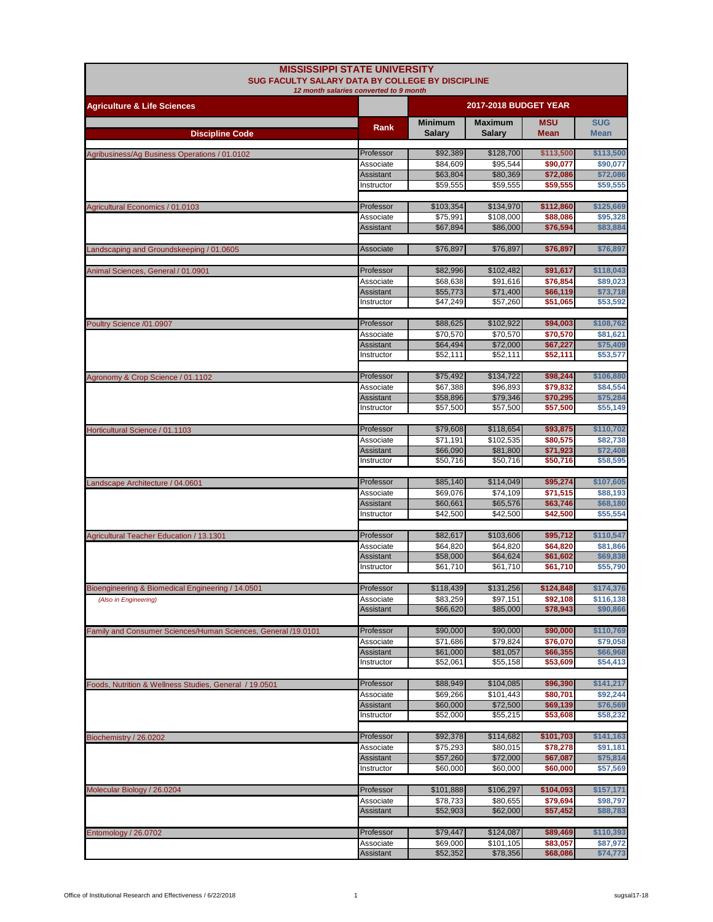| SUG FACULTY SALARY DATA BY COLLEGE BY DISCIPLINE<br>12 month salaries converted to 9 month<br><b>2017-2018 BUDGET YEAR</b><br><b>Agriculture &amp; Life Sciences</b><br><b>Minimum</b><br><b>Maximum</b><br><b>MSU</b><br>Rank<br><b>Discipline Code</b><br><b>Salary</b><br><b>Salary</b><br>Mean<br>\$92,389<br>\$128,700<br>Professor<br>\$113,500<br>Agribusiness/Ag Business Operations / 01.0102<br>\$84,609<br>\$95,544<br>Associate<br>\$90,077<br>\$63,804<br>Assistant<br>\$80,369<br>\$72,086<br>\$59,555<br>\$59,555<br>\$59,555<br>Instructor<br>Professor<br>\$103,354<br>\$134,970<br>\$112,860<br>Agricultural Economics / 01.0103<br>\$75,991<br>\$108,000<br>\$88,086<br>Associate<br>\$67,894<br>\$86,000<br>Assistant<br>\$76,594<br>Associate<br>\$76,897<br>\$76,897<br>\$76,897<br>Landscaping and Groundskeeping / 01.0605<br>\$82,996<br>\$102,482<br>Professor<br>\$91,617<br>Animal Sciences, General / 01.0901<br>\$91,616<br>\$76,854<br>Associate<br>\$68,638<br>\$55,773<br>Assistant<br>\$66,119<br>\$71,400<br>\$47,249<br>\$57,260<br>\$51,065<br>Instructor | <b>SUG</b><br><b>Mean</b><br>\$113,500<br>\$90,077<br>\$72,086<br>\$59,555<br>\$125,669<br>\$95,328<br>\$83,884<br>\$76,897<br>\$118,043 |
|------------------------------------------------------------------------------------------------------------------------------------------------------------------------------------------------------------------------------------------------------------------------------------------------------------------------------------------------------------------------------------------------------------------------------------------------------------------------------------------------------------------------------------------------------------------------------------------------------------------------------------------------------------------------------------------------------------------------------------------------------------------------------------------------------------------------------------------------------------------------------------------------------------------------------------------------------------------------------------------------------------------------------------------------------------------------------------------------|------------------------------------------------------------------------------------------------------------------------------------------|
|                                                                                                                                                                                                                                                                                                                                                                                                                                                                                                                                                                                                                                                                                                                                                                                                                                                                                                                                                                                                                                                                                                |                                                                                                                                          |
|                                                                                                                                                                                                                                                                                                                                                                                                                                                                                                                                                                                                                                                                                                                                                                                                                                                                                                                                                                                                                                                                                                |                                                                                                                                          |
|                                                                                                                                                                                                                                                                                                                                                                                                                                                                                                                                                                                                                                                                                                                                                                                                                                                                                                                                                                                                                                                                                                |                                                                                                                                          |
|                                                                                                                                                                                                                                                                                                                                                                                                                                                                                                                                                                                                                                                                                                                                                                                                                                                                                                                                                                                                                                                                                                |                                                                                                                                          |
|                                                                                                                                                                                                                                                                                                                                                                                                                                                                                                                                                                                                                                                                                                                                                                                                                                                                                                                                                                                                                                                                                                |                                                                                                                                          |
|                                                                                                                                                                                                                                                                                                                                                                                                                                                                                                                                                                                                                                                                                                                                                                                                                                                                                                                                                                                                                                                                                                |                                                                                                                                          |
|                                                                                                                                                                                                                                                                                                                                                                                                                                                                                                                                                                                                                                                                                                                                                                                                                                                                                                                                                                                                                                                                                                |                                                                                                                                          |
|                                                                                                                                                                                                                                                                                                                                                                                                                                                                                                                                                                                                                                                                                                                                                                                                                                                                                                                                                                                                                                                                                                |                                                                                                                                          |
|                                                                                                                                                                                                                                                                                                                                                                                                                                                                                                                                                                                                                                                                                                                                                                                                                                                                                                                                                                                                                                                                                                |                                                                                                                                          |
|                                                                                                                                                                                                                                                                                                                                                                                                                                                                                                                                                                                                                                                                                                                                                                                                                                                                                                                                                                                                                                                                                                |                                                                                                                                          |
|                                                                                                                                                                                                                                                                                                                                                                                                                                                                                                                                                                                                                                                                                                                                                                                                                                                                                                                                                                                                                                                                                                |                                                                                                                                          |
|                                                                                                                                                                                                                                                                                                                                                                                                                                                                                                                                                                                                                                                                                                                                                                                                                                                                                                                                                                                                                                                                                                |                                                                                                                                          |
|                                                                                                                                                                                                                                                                                                                                                                                                                                                                                                                                                                                                                                                                                                                                                                                                                                                                                                                                                                                                                                                                                                | \$89,023                                                                                                                                 |
|                                                                                                                                                                                                                                                                                                                                                                                                                                                                                                                                                                                                                                                                                                                                                                                                                                                                                                                                                                                                                                                                                                | \$73,718                                                                                                                                 |
|                                                                                                                                                                                                                                                                                                                                                                                                                                                                                                                                                                                                                                                                                                                                                                                                                                                                                                                                                                                                                                                                                                | \$53,592                                                                                                                                 |
| \$88,625<br>\$102,922<br>\$94,003<br>Professor<br>Poultry Science /01.0907                                                                                                                                                                                                                                                                                                                                                                                                                                                                                                                                                                                                                                                                                                                                                                                                                                                                                                                                                                                                                     | \$108,762                                                                                                                                |
| \$70,570<br>\$70,570<br>\$70,570<br>Associate                                                                                                                                                                                                                                                                                                                                                                                                                                                                                                                                                                                                                                                                                                                                                                                                                                                                                                                                                                                                                                                  | \$81,621                                                                                                                                 |
| <b>Assistant</b><br>\$64,494<br>\$72,000<br>\$67,227                                                                                                                                                                                                                                                                                                                                                                                                                                                                                                                                                                                                                                                                                                                                                                                                                                                                                                                                                                                                                                           | \$75,409                                                                                                                                 |
| \$52,111<br>Instructor<br>\$52,111<br>\$52,111                                                                                                                                                                                                                                                                                                                                                                                                                                                                                                                                                                                                                                                                                                                                                                                                                                                                                                                                                                                                                                                 | \$53,577                                                                                                                                 |
| \$75,492<br>\$134,722<br>Professor<br>\$98,244<br>Agronomy & Crop Science / 01.1102                                                                                                                                                                                                                                                                                                                                                                                                                                                                                                                                                                                                                                                                                                                                                                                                                                                                                                                                                                                                            | \$106,880                                                                                                                                |
| \$67,388<br>\$96,893<br>\$79,832<br>Associate                                                                                                                                                                                                                                                                                                                                                                                                                                                                                                                                                                                                                                                                                                                                                                                                                                                                                                                                                                                                                                                  | \$84,554                                                                                                                                 |
| \$58,896<br>\$79,346<br>\$70,295<br>Assistant                                                                                                                                                                                                                                                                                                                                                                                                                                                                                                                                                                                                                                                                                                                                                                                                                                                                                                                                                                                                                                                  | \$75,284                                                                                                                                 |
| \$57,500<br>\$57,500<br>\$57,500<br>Instructor                                                                                                                                                                                                                                                                                                                                                                                                                                                                                                                                                                                                                                                                                                                                                                                                                                                                                                                                                                                                                                                 | \$55,149                                                                                                                                 |
| \$79,608<br>\$118,654<br>\$93,875<br>Horticultural Science / 01.1103<br>Professor                                                                                                                                                                                                                                                                                                                                                                                                                                                                                                                                                                                                                                                                                                                                                                                                                                                                                                                                                                                                              | \$110,702                                                                                                                                |
| \$71,191<br>\$102,535<br>\$80,575<br>Associate                                                                                                                                                                                                                                                                                                                                                                                                                                                                                                                                                                                                                                                                                                                                                                                                                                                                                                                                                                                                                                                 | \$82,738                                                                                                                                 |
| \$66,090<br>Assistant<br>\$81,800<br>\$71,923<br>\$50,716<br>Instructor<br>\$50,716<br>\$50,716                                                                                                                                                                                                                                                                                                                                                                                                                                                                                                                                                                                                                                                                                                                                                                                                                                                                                                                                                                                                | \$72,408<br>\$58,595                                                                                                                     |
|                                                                                                                                                                                                                                                                                                                                                                                                                                                                                                                                                                                                                                                                                                                                                                                                                                                                                                                                                                                                                                                                                                |                                                                                                                                          |
| Professor<br>\$85,140<br>\$114,049<br>\$95,274<br>Landscape Architecture / 04.0601<br>\$69,076<br>\$74,109<br>\$71,515<br>Associate                                                                                                                                                                                                                                                                                                                                                                                                                                                                                                                                                                                                                                                                                                                                                                                                                                                                                                                                                            | \$107,605<br>\$88,193                                                                                                                    |
| <b>Assistant</b><br>\$60,661<br>\$65,576<br>\$63,746                                                                                                                                                                                                                                                                                                                                                                                                                                                                                                                                                                                                                                                                                                                                                                                                                                                                                                                                                                                                                                           | \$68,180                                                                                                                                 |
| \$42,500<br>Instructor<br>\$42,500<br>\$42,500                                                                                                                                                                                                                                                                                                                                                                                                                                                                                                                                                                                                                                                                                                                                                                                                                                                                                                                                                                                                                                                 | \$55,554                                                                                                                                 |
| \$82,617<br>\$103,606<br>Professor<br>\$95,712<br>Agricultural Teacher Education / 13.1301                                                                                                                                                                                                                                                                                                                                                                                                                                                                                                                                                                                                                                                                                                                                                                                                                                                                                                                                                                                                     | \$110,547                                                                                                                                |
| \$64,820<br>\$64,820<br>\$64,820<br>Associate                                                                                                                                                                                                                                                                                                                                                                                                                                                                                                                                                                                                                                                                                                                                                                                                                                                                                                                                                                                                                                                  | \$81,866                                                                                                                                 |
| \$58,000<br>Assistant<br>\$64,624<br>\$61,602                                                                                                                                                                                                                                                                                                                                                                                                                                                                                                                                                                                                                                                                                                                                                                                                                                                                                                                                                                                                                                                  | \$69,838                                                                                                                                 |
| Instructor<br>\$61,710<br>\$61,710<br>\$61,710                                                                                                                                                                                                                                                                                                                                                                                                                                                                                                                                                                                                                                                                                                                                                                                                                                                                                                                                                                                                                                                 | \$55,790                                                                                                                                 |
| Bioengineering & Biomedical Engineering / 14.0501<br>Professor<br>\$118,439<br>\$131,256<br>\$124,848                                                                                                                                                                                                                                                                                                                                                                                                                                                                                                                                                                                                                                                                                                                                                                                                                                                                                                                                                                                          | \$174,376                                                                                                                                |
| \$83,259<br>\$97,151<br>\$92,108<br>(Also in Engineering)<br>Associate                                                                                                                                                                                                                                                                                                                                                                                                                                                                                                                                                                                                                                                                                                                                                                                                                                                                                                                                                                                                                         | \$116,138                                                                                                                                |
| \$78,943<br>Assistant<br>\$66,620<br>\$85,000                                                                                                                                                                                                                                                                                                                                                                                                                                                                                                                                                                                                                                                                                                                                                                                                                                                                                                                                                                                                                                                  | \$90,866                                                                                                                                 |
| \$90,000<br>Professor<br>\$90,000<br>\$90,000<br>Family and Consumer Sciences/Human Sciences, General /19.0101                                                                                                                                                                                                                                                                                                                                                                                                                                                                                                                                                                                                                                                                                                                                                                                                                                                                                                                                                                                 | \$110,769                                                                                                                                |
| \$79,824<br>\$71,686<br>\$76,070<br>Associate                                                                                                                                                                                                                                                                                                                                                                                                                                                                                                                                                                                                                                                                                                                                                                                                                                                                                                                                                                                                                                                  | \$79,058                                                                                                                                 |
| \$61,000<br>\$66,355<br>Assistant<br>\$81,057                                                                                                                                                                                                                                                                                                                                                                                                                                                                                                                                                                                                                                                                                                                                                                                                                                                                                                                                                                                                                                                  | \$66,968                                                                                                                                 |
| \$52,061<br>\$55,158<br>Instructor<br>\$53,609                                                                                                                                                                                                                                                                                                                                                                                                                                                                                                                                                                                                                                                                                                                                                                                                                                                                                                                                                                                                                                                 | \$54,413                                                                                                                                 |
| Professor<br>\$88,949<br>\$104,085<br>\$96,390<br>Foods, Nutrition & Wellness Studies, General / 19.0501                                                                                                                                                                                                                                                                                                                                                                                                                                                                                                                                                                                                                                                                                                                                                                                                                                                                                                                                                                                       | \$141,217                                                                                                                                |
| \$101,443<br>\$69,266<br>\$80,701<br>Associate                                                                                                                                                                                                                                                                                                                                                                                                                                                                                                                                                                                                                                                                                                                                                                                                                                                                                                                                                                                                                                                 | \$92,244                                                                                                                                 |
| \$60,000<br>\$72,500<br>\$69,139<br>Assistant<br>\$52,000<br>\$55,215<br>\$53,608<br>Instructor                                                                                                                                                                                                                                                                                                                                                                                                                                                                                                                                                                                                                                                                                                                                                                                                                                                                                                                                                                                                | \$76,569<br>\$58,232                                                                                                                     |
|                                                                                                                                                                                                                                                                                                                                                                                                                                                                                                                                                                                                                                                                                                                                                                                                                                                                                                                                                                                                                                                                                                |                                                                                                                                          |
| \$92,378<br>\$114,682<br>\$101,703<br>Professor<br>Biochemistry / 26.0202                                                                                                                                                                                                                                                                                                                                                                                                                                                                                                                                                                                                                                                                                                                                                                                                                                                                                                                                                                                                                      | \$141,163                                                                                                                                |
| \$75,293<br>\$80,015<br>\$78,278<br>Associate                                                                                                                                                                                                                                                                                                                                                                                                                                                                                                                                                                                                                                                                                                                                                                                                                                                                                                                                                                                                                                                  | \$91,181                                                                                                                                 |
| \$57,260<br>\$72,000<br>\$67,087<br>Assistant<br>\$60,000<br>\$60,000<br>\$60,000<br>Instructor                                                                                                                                                                                                                                                                                                                                                                                                                                                                                                                                                                                                                                                                                                                                                                                                                                                                                                                                                                                                | \$75,814<br>\$57,569                                                                                                                     |
|                                                                                                                                                                                                                                                                                                                                                                                                                                                                                                                                                                                                                                                                                                                                                                                                                                                                                                                                                                                                                                                                                                |                                                                                                                                          |
| Molecular Biology / 26.0204<br>\$101,888<br>\$106,297<br>\$104,093<br>Professor                                                                                                                                                                                                                                                                                                                                                                                                                                                                                                                                                                                                                                                                                                                                                                                                                                                                                                                                                                                                                | \$157,171                                                                                                                                |
| \$78,733<br>\$80,655<br>\$79,694<br>Associate<br>\$52,903<br>\$62,000<br>Assistant<br>\$57,452                                                                                                                                                                                                                                                                                                                                                                                                                                                                                                                                                                                                                                                                                                                                                                                                                                                                                                                                                                                                 | \$98,797<br>\$88,783                                                                                                                     |
|                                                                                                                                                                                                                                                                                                                                                                                                                                                                                                                                                                                                                                                                                                                                                                                                                                                                                                                                                                                                                                                                                                |                                                                                                                                          |
| Professor<br>\$79,447<br>\$124,087<br>\$89,469<br>Entomology / 26.0702                                                                                                                                                                                                                                                                                                                                                                                                                                                                                                                                                                                                                                                                                                                                                                                                                                                                                                                                                                                                                         | \$110,393                                                                                                                                |
| \$69,000<br>\$101,105<br>\$83,057<br>Associate<br>Assistant<br>\$52,352<br>\$78,356<br>\$68,086                                                                                                                                                                                                                                                                                                                                                                                                                                                                                                                                                                                                                                                                                                                                                                                                                                                                                                                                                                                                | \$87,972                                                                                                                                 |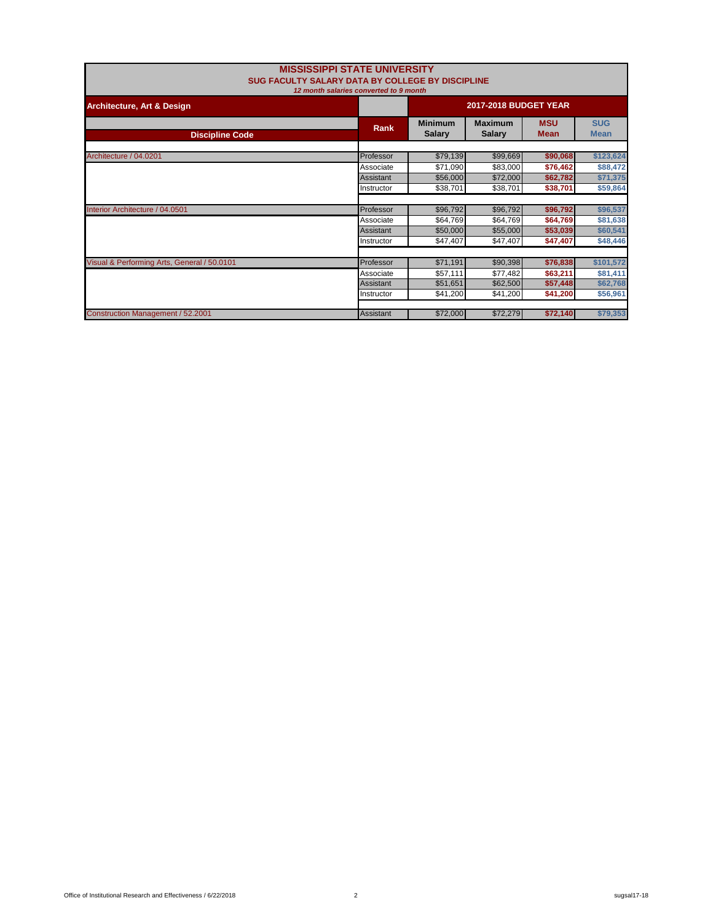|                                             | <b>MISSISSIPPI STATE UNIVERSITY</b><br>SUG FACULTY SALARY DATA BY COLLEGE BY DISCIPLINE<br>12 month salaries converted to 9 month |                                 |                                 |                           |                           |
|---------------------------------------------|-----------------------------------------------------------------------------------------------------------------------------------|---------------------------------|---------------------------------|---------------------------|---------------------------|
| <b>Architecture, Art &amp; Design</b>       |                                                                                                                                   | <b>2017-2018 BUDGET YEAR</b>    |                                 |                           |                           |
| <b>Discipline Code</b>                      | Rank                                                                                                                              | <b>Minimum</b><br><b>Salary</b> | <b>Maximum</b><br><b>Salary</b> | <b>MSU</b><br><b>Mean</b> | <b>SUG</b><br><b>Mean</b> |
| Architecture / 04.0201                      | Professor                                                                                                                         | \$79,139                        | \$99,669                        | \$90,068                  | \$123,624                 |
|                                             | Associate                                                                                                                         | \$71,090                        | \$83,000                        | \$76,462                  | \$88,472                  |
|                                             | <b>Assistant</b>                                                                                                                  | \$56,000                        | \$72,000                        | \$62,782                  | \$71,375                  |
|                                             | Instructor                                                                                                                        | \$38,701                        | \$38,701                        | \$38,701                  | \$59,864                  |
|                                             |                                                                                                                                   |                                 |                                 |                           |                           |
| Interior Architecture / 04.0501             | Professor                                                                                                                         | \$96,792                        | \$96,792                        | \$96,792                  | \$96,537                  |
|                                             | Associate                                                                                                                         | \$64,769                        | \$64,769                        | \$64,769                  | \$81,638                  |
|                                             | Assistant                                                                                                                         | \$50,000                        | \$55,000                        | \$53,039                  | \$60,541                  |
|                                             | Instructor                                                                                                                        | \$47,407                        | \$47,407                        | \$47,407                  | \$48,446                  |
|                                             |                                                                                                                                   |                                 |                                 |                           |                           |
| Visual & Performing Arts, General / 50.0101 | Professor                                                                                                                         | \$71,191                        | \$90,398                        | \$76,838                  | \$101,572                 |
|                                             | Associate                                                                                                                         | \$57,111                        | \$77,482                        | \$63,211                  | \$81,411                  |
|                                             | Assistant                                                                                                                         | \$51,651                        | \$62,500                        | \$57,448                  | \$62,768                  |
|                                             | Instructor                                                                                                                        | \$41,200                        | \$41,200                        | \$41,200                  | \$56,961                  |
|                                             |                                                                                                                                   |                                 |                                 |                           |                           |
| Construction Management / 52.2001           | <b>Assistant</b>                                                                                                                  | \$72,000                        | \$72,279                        | \$72,140                  | \$79,353                  |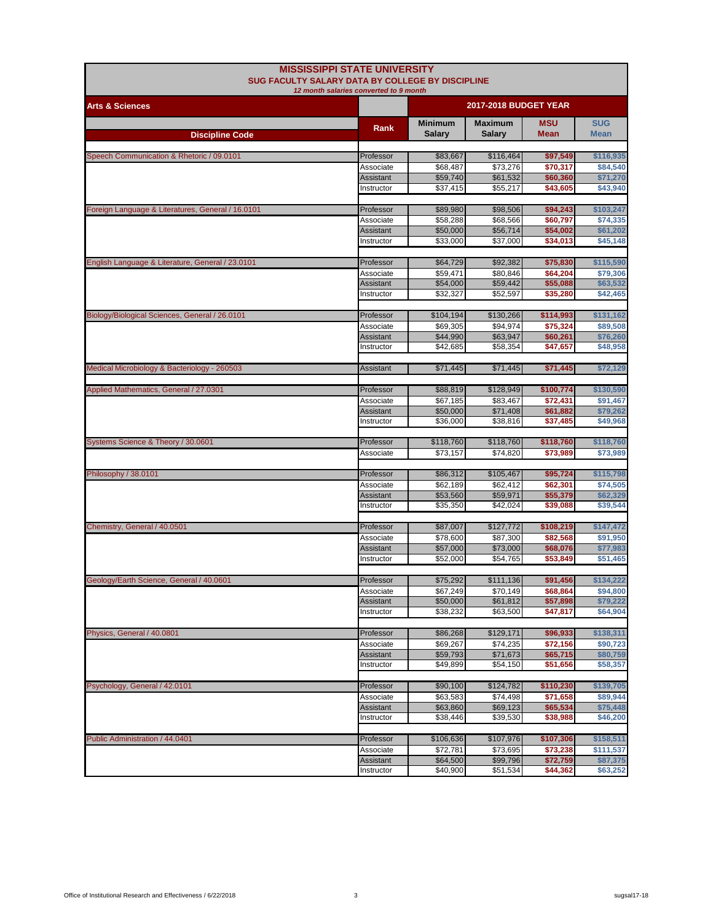| 12 month salaries converted to 9 month<br><b>2017-2018 BUDGET YEAR</b><br><b>Arts &amp; Sciences</b><br><b>SUG</b><br><b>Minimum</b><br><b>Maximum</b><br><b>MSU</b><br>Rank<br><b>Salary</b><br><b>Mean</b><br>Salary<br>Mean<br><b>Discipline Code</b><br>Speech Communication & Rhetoric / 09.0101<br>Professor<br>\$83,667<br>\$116,464<br>\$97,549<br>\$116,935<br>\$68,487<br>\$73,276<br>Associate<br>\$70,317<br>\$84,540<br>\$59,740<br>Assistant<br>\$61,532<br>\$60,360<br>\$71,270<br>\$37,415<br>\$55,217<br>\$43,940<br>Instructor<br>\$43,605<br>Foreign Language & Literatures, General / 16.0101<br>Professor<br>\$89,980<br>\$98,506<br>\$94,243<br>\$103,247<br>\$58,288<br>\$68.566<br>\$60,797<br>\$74,335<br>Associate<br><b>Assistant</b><br>\$50,000<br>\$56,714<br>\$54,002<br>\$61,202<br>\$33,000<br>\$37,000<br>\$34,013<br>\$45,148<br>Instructor<br>English Language & Literature, General / 23.0101<br>\$64,729<br>\$92,382<br>\$75,830<br>\$115,590<br>Professor<br>\$59,471<br>\$80,846<br>\$64,204<br>\$79,306<br>Associate<br>\$54,000<br>\$59,442<br>\$55,088<br>\$63,532<br>Assistant<br>\$42,465<br>Instructor<br>\$32,327<br>\$52,597<br>\$35,280<br>Biology/Biological Sciences, General / 26.0101<br>Professor<br>\$104,194<br>\$130,266<br>\$114,993<br>\$131,162<br>\$69,305<br>\$94,974<br>\$75,324<br>Associate<br>\$89,508<br><b>Assistant</b><br>\$44,990<br>\$63,947<br>\$60,261<br>\$76,260<br>\$42,685<br>\$58,354<br>Instructor<br>\$47,657<br>\$48,958<br>Medical Microbiology & Bacteriology - 260503<br>\$71,445<br>\$71,445<br>\$72,129<br>Assistant<br>\$71,445<br>\$88,819<br>\$128,949<br>\$100,774<br>\$130,590<br>Applied Mathematics, General / 27.0301<br>Professor<br>\$67,185<br>\$83,467<br>\$72,431<br>Associate<br>\$91,467<br>\$50,000<br>\$71,408<br>\$61,882<br>\$79,262<br>Assistant<br>\$36,000<br>\$38,816<br>\$37,485<br>\$49,968<br>Instructor<br>Systems Science & Theory / 30.0601<br>\$118,760<br>\$118,760<br>\$118,760<br>\$118,760<br>Professor<br>\$73,157<br>\$74,820<br>\$73,989<br>\$73,989<br>Associate<br>Philosophy / 38.0101<br>\$86,312<br>\$95,724<br>Professor<br>\$105,467<br>\$115,798<br>\$62,189<br>\$62,412<br>\$62,301<br>\$74,505<br>Associate<br>\$53,560<br>Assistant<br>\$59,971<br>\$55,379<br>\$62,329<br>\$35,350<br>\$42,024<br>\$39,088<br>\$39,544<br>Instructor<br>Chemistry, General / 40.0501<br>Professor<br>\$87,007<br>\$127,772<br>\$108,219<br>\$147,472<br>\$78,600<br>Associate<br>\$87,300<br>\$82,568<br>\$91,950<br>\$57,000<br>\$73,000<br>Assistant<br>\$68,076<br>\$77,983<br>\$52,000<br>\$54,765<br>Instructor<br>\$53,849<br>\$51,465<br>Geology/Earth Science, General / 40.0601<br>\$75,292<br>\$111,136<br>\$91,456<br>\$134,222<br>Professor<br>\$67,249<br>\$70,149<br>\$68,864<br>\$94,800<br>Associate<br><b>Assistant</b><br>\$50,000<br>\$61,812<br>\$57,898<br>\$79,222<br>\$38,232<br>\$64,904<br>Instructor<br>\$63,500<br>\$47,817<br>Physics, General / 40.0801<br>\$86,268<br>\$129,171<br>\$96,933<br>\$138,311<br>Professor<br>\$69,267<br>\$74,235<br>\$72,156<br>\$90,723<br>Associate<br>\$59,793<br>\$65,715<br>Assistant<br>\$71,673<br>\$80,759<br>\$49,899<br>\$54,150<br>\$51,656<br>\$58,357<br>Instructor<br>Psychology, General / 42.0101<br>Professor<br>\$90,100<br>\$124,782<br>\$110,230<br>\$139,705<br>\$63,583<br>\$74,498<br>\$71,658<br>\$89,944<br>Associate<br><b>Assistant</b><br>\$63,860<br>\$69,123<br>\$65,534<br>\$75,448<br>\$38,446<br>\$39,530<br>\$38,988<br>\$46,200<br>Instructor<br>\$106,636<br>\$107,976<br>\$107,306<br>\$158,511<br>Public Administration / 44.0401<br>Professor<br>\$72,781<br>\$73,695<br>\$73,238<br>\$111,537<br>Associate<br>\$87,375<br>\$64,500<br>\$99,796<br>\$72,759<br><b>Assistant</b><br>\$40,900<br>Instructor<br>\$51,534<br>\$44,362<br>\$63,252 | <b>MISSISSIPPI STATE UNIVERSITY</b><br>SUG FACULTY SALARY DATA BY COLLEGE BY DISCIPLINE |  |  |  |  |  |
|-------------------------------------------------------------------------------------------------------------------------------------------------------------------------------------------------------------------------------------------------------------------------------------------------------------------------------------------------------------------------------------------------------------------------------------------------------------------------------------------------------------------------------------------------------------------------------------------------------------------------------------------------------------------------------------------------------------------------------------------------------------------------------------------------------------------------------------------------------------------------------------------------------------------------------------------------------------------------------------------------------------------------------------------------------------------------------------------------------------------------------------------------------------------------------------------------------------------------------------------------------------------------------------------------------------------------------------------------------------------------------------------------------------------------------------------------------------------------------------------------------------------------------------------------------------------------------------------------------------------------------------------------------------------------------------------------------------------------------------------------------------------------------------------------------------------------------------------------------------------------------------------------------------------------------------------------------------------------------------------------------------------------------------------------------------------------------------------------------------------------------------------------------------------------------------------------------------------------------------------------------------------------------------------------------------------------------------------------------------------------------------------------------------------------------------------------------------------------------------------------------------------------------------------------------------------------------------------------------------------------------------------------------------------------------------------------------------------------------------------------------------------------------------------------------------------------------------------------------------------------------------------------------------------------------------------------------------------------------------------------------------------------------------------------------------------------------------------------------------------------------------------------------------------------------------------------------------------------------------------------------------------------------------------------------------------------------------------------------------------------------------------------------------------------------------------------------------------------------------------------------------------------------------------------------------------------------------------------------------------------------------------------------------------------------------------------------------------------------------------------------------------------------------------------------------------------------------------------------------------------|-----------------------------------------------------------------------------------------|--|--|--|--|--|
|                                                                                                                                                                                                                                                                                                                                                                                                                                                                                                                                                                                                                                                                                                                                                                                                                                                                                                                                                                                                                                                                                                                                                                                                                                                                                                                                                                                                                                                                                                                                                                                                                                                                                                                                                                                                                                                                                                                                                                                                                                                                                                                                                                                                                                                                                                                                                                                                                                                                                                                                                                                                                                                                                                                                                                                                                                                                                                                                                                                                                                                                                                                                                                                                                                                                                                                                                                                                                                                                                                                                                                                                                                                                                                                                                                                                                                                                         |                                                                                         |  |  |  |  |  |
|                                                                                                                                                                                                                                                                                                                                                                                                                                                                                                                                                                                                                                                                                                                                                                                                                                                                                                                                                                                                                                                                                                                                                                                                                                                                                                                                                                                                                                                                                                                                                                                                                                                                                                                                                                                                                                                                                                                                                                                                                                                                                                                                                                                                                                                                                                                                                                                                                                                                                                                                                                                                                                                                                                                                                                                                                                                                                                                                                                                                                                                                                                                                                                                                                                                                                                                                                                                                                                                                                                                                                                                                                                                                                                                                                                                                                                                                         |                                                                                         |  |  |  |  |  |
|                                                                                                                                                                                                                                                                                                                                                                                                                                                                                                                                                                                                                                                                                                                                                                                                                                                                                                                                                                                                                                                                                                                                                                                                                                                                                                                                                                                                                                                                                                                                                                                                                                                                                                                                                                                                                                                                                                                                                                                                                                                                                                                                                                                                                                                                                                                                                                                                                                                                                                                                                                                                                                                                                                                                                                                                                                                                                                                                                                                                                                                                                                                                                                                                                                                                                                                                                                                                                                                                                                                                                                                                                                                                                                                                                                                                                                                                         |                                                                                         |  |  |  |  |  |
|                                                                                                                                                                                                                                                                                                                                                                                                                                                                                                                                                                                                                                                                                                                                                                                                                                                                                                                                                                                                                                                                                                                                                                                                                                                                                                                                                                                                                                                                                                                                                                                                                                                                                                                                                                                                                                                                                                                                                                                                                                                                                                                                                                                                                                                                                                                                                                                                                                                                                                                                                                                                                                                                                                                                                                                                                                                                                                                                                                                                                                                                                                                                                                                                                                                                                                                                                                                                                                                                                                                                                                                                                                                                                                                                                                                                                                                                         |                                                                                         |  |  |  |  |  |
|                                                                                                                                                                                                                                                                                                                                                                                                                                                                                                                                                                                                                                                                                                                                                                                                                                                                                                                                                                                                                                                                                                                                                                                                                                                                                                                                                                                                                                                                                                                                                                                                                                                                                                                                                                                                                                                                                                                                                                                                                                                                                                                                                                                                                                                                                                                                                                                                                                                                                                                                                                                                                                                                                                                                                                                                                                                                                                                                                                                                                                                                                                                                                                                                                                                                                                                                                                                                                                                                                                                                                                                                                                                                                                                                                                                                                                                                         |                                                                                         |  |  |  |  |  |
|                                                                                                                                                                                                                                                                                                                                                                                                                                                                                                                                                                                                                                                                                                                                                                                                                                                                                                                                                                                                                                                                                                                                                                                                                                                                                                                                                                                                                                                                                                                                                                                                                                                                                                                                                                                                                                                                                                                                                                                                                                                                                                                                                                                                                                                                                                                                                                                                                                                                                                                                                                                                                                                                                                                                                                                                                                                                                                                                                                                                                                                                                                                                                                                                                                                                                                                                                                                                                                                                                                                                                                                                                                                                                                                                                                                                                                                                         |                                                                                         |  |  |  |  |  |
|                                                                                                                                                                                                                                                                                                                                                                                                                                                                                                                                                                                                                                                                                                                                                                                                                                                                                                                                                                                                                                                                                                                                                                                                                                                                                                                                                                                                                                                                                                                                                                                                                                                                                                                                                                                                                                                                                                                                                                                                                                                                                                                                                                                                                                                                                                                                                                                                                                                                                                                                                                                                                                                                                                                                                                                                                                                                                                                                                                                                                                                                                                                                                                                                                                                                                                                                                                                                                                                                                                                                                                                                                                                                                                                                                                                                                                                                         |                                                                                         |  |  |  |  |  |
|                                                                                                                                                                                                                                                                                                                                                                                                                                                                                                                                                                                                                                                                                                                                                                                                                                                                                                                                                                                                                                                                                                                                                                                                                                                                                                                                                                                                                                                                                                                                                                                                                                                                                                                                                                                                                                                                                                                                                                                                                                                                                                                                                                                                                                                                                                                                                                                                                                                                                                                                                                                                                                                                                                                                                                                                                                                                                                                                                                                                                                                                                                                                                                                                                                                                                                                                                                                                                                                                                                                                                                                                                                                                                                                                                                                                                                                                         |                                                                                         |  |  |  |  |  |
|                                                                                                                                                                                                                                                                                                                                                                                                                                                                                                                                                                                                                                                                                                                                                                                                                                                                                                                                                                                                                                                                                                                                                                                                                                                                                                                                                                                                                                                                                                                                                                                                                                                                                                                                                                                                                                                                                                                                                                                                                                                                                                                                                                                                                                                                                                                                                                                                                                                                                                                                                                                                                                                                                                                                                                                                                                                                                                                                                                                                                                                                                                                                                                                                                                                                                                                                                                                                                                                                                                                                                                                                                                                                                                                                                                                                                                                                         |                                                                                         |  |  |  |  |  |
|                                                                                                                                                                                                                                                                                                                                                                                                                                                                                                                                                                                                                                                                                                                                                                                                                                                                                                                                                                                                                                                                                                                                                                                                                                                                                                                                                                                                                                                                                                                                                                                                                                                                                                                                                                                                                                                                                                                                                                                                                                                                                                                                                                                                                                                                                                                                                                                                                                                                                                                                                                                                                                                                                                                                                                                                                                                                                                                                                                                                                                                                                                                                                                                                                                                                                                                                                                                                                                                                                                                                                                                                                                                                                                                                                                                                                                                                         |                                                                                         |  |  |  |  |  |
|                                                                                                                                                                                                                                                                                                                                                                                                                                                                                                                                                                                                                                                                                                                                                                                                                                                                                                                                                                                                                                                                                                                                                                                                                                                                                                                                                                                                                                                                                                                                                                                                                                                                                                                                                                                                                                                                                                                                                                                                                                                                                                                                                                                                                                                                                                                                                                                                                                                                                                                                                                                                                                                                                                                                                                                                                                                                                                                                                                                                                                                                                                                                                                                                                                                                                                                                                                                                                                                                                                                                                                                                                                                                                                                                                                                                                                                                         |                                                                                         |  |  |  |  |  |
|                                                                                                                                                                                                                                                                                                                                                                                                                                                                                                                                                                                                                                                                                                                                                                                                                                                                                                                                                                                                                                                                                                                                                                                                                                                                                                                                                                                                                                                                                                                                                                                                                                                                                                                                                                                                                                                                                                                                                                                                                                                                                                                                                                                                                                                                                                                                                                                                                                                                                                                                                                                                                                                                                                                                                                                                                                                                                                                                                                                                                                                                                                                                                                                                                                                                                                                                                                                                                                                                                                                                                                                                                                                                                                                                                                                                                                                                         |                                                                                         |  |  |  |  |  |
|                                                                                                                                                                                                                                                                                                                                                                                                                                                                                                                                                                                                                                                                                                                                                                                                                                                                                                                                                                                                                                                                                                                                                                                                                                                                                                                                                                                                                                                                                                                                                                                                                                                                                                                                                                                                                                                                                                                                                                                                                                                                                                                                                                                                                                                                                                                                                                                                                                                                                                                                                                                                                                                                                                                                                                                                                                                                                                                                                                                                                                                                                                                                                                                                                                                                                                                                                                                                                                                                                                                                                                                                                                                                                                                                                                                                                                                                         |                                                                                         |  |  |  |  |  |
|                                                                                                                                                                                                                                                                                                                                                                                                                                                                                                                                                                                                                                                                                                                                                                                                                                                                                                                                                                                                                                                                                                                                                                                                                                                                                                                                                                                                                                                                                                                                                                                                                                                                                                                                                                                                                                                                                                                                                                                                                                                                                                                                                                                                                                                                                                                                                                                                                                                                                                                                                                                                                                                                                                                                                                                                                                                                                                                                                                                                                                                                                                                                                                                                                                                                                                                                                                                                                                                                                                                                                                                                                                                                                                                                                                                                                                                                         |                                                                                         |  |  |  |  |  |
|                                                                                                                                                                                                                                                                                                                                                                                                                                                                                                                                                                                                                                                                                                                                                                                                                                                                                                                                                                                                                                                                                                                                                                                                                                                                                                                                                                                                                                                                                                                                                                                                                                                                                                                                                                                                                                                                                                                                                                                                                                                                                                                                                                                                                                                                                                                                                                                                                                                                                                                                                                                                                                                                                                                                                                                                                                                                                                                                                                                                                                                                                                                                                                                                                                                                                                                                                                                                                                                                                                                                                                                                                                                                                                                                                                                                                                                                         |                                                                                         |  |  |  |  |  |
|                                                                                                                                                                                                                                                                                                                                                                                                                                                                                                                                                                                                                                                                                                                                                                                                                                                                                                                                                                                                                                                                                                                                                                                                                                                                                                                                                                                                                                                                                                                                                                                                                                                                                                                                                                                                                                                                                                                                                                                                                                                                                                                                                                                                                                                                                                                                                                                                                                                                                                                                                                                                                                                                                                                                                                                                                                                                                                                                                                                                                                                                                                                                                                                                                                                                                                                                                                                                                                                                                                                                                                                                                                                                                                                                                                                                                                                                         |                                                                                         |  |  |  |  |  |
|                                                                                                                                                                                                                                                                                                                                                                                                                                                                                                                                                                                                                                                                                                                                                                                                                                                                                                                                                                                                                                                                                                                                                                                                                                                                                                                                                                                                                                                                                                                                                                                                                                                                                                                                                                                                                                                                                                                                                                                                                                                                                                                                                                                                                                                                                                                                                                                                                                                                                                                                                                                                                                                                                                                                                                                                                                                                                                                                                                                                                                                                                                                                                                                                                                                                                                                                                                                                                                                                                                                                                                                                                                                                                                                                                                                                                                                                         |                                                                                         |  |  |  |  |  |
|                                                                                                                                                                                                                                                                                                                                                                                                                                                                                                                                                                                                                                                                                                                                                                                                                                                                                                                                                                                                                                                                                                                                                                                                                                                                                                                                                                                                                                                                                                                                                                                                                                                                                                                                                                                                                                                                                                                                                                                                                                                                                                                                                                                                                                                                                                                                                                                                                                                                                                                                                                                                                                                                                                                                                                                                                                                                                                                                                                                                                                                                                                                                                                                                                                                                                                                                                                                                                                                                                                                                                                                                                                                                                                                                                                                                                                                                         |                                                                                         |  |  |  |  |  |
|                                                                                                                                                                                                                                                                                                                                                                                                                                                                                                                                                                                                                                                                                                                                                                                                                                                                                                                                                                                                                                                                                                                                                                                                                                                                                                                                                                                                                                                                                                                                                                                                                                                                                                                                                                                                                                                                                                                                                                                                                                                                                                                                                                                                                                                                                                                                                                                                                                                                                                                                                                                                                                                                                                                                                                                                                                                                                                                                                                                                                                                                                                                                                                                                                                                                                                                                                                                                                                                                                                                                                                                                                                                                                                                                                                                                                                                                         |                                                                                         |  |  |  |  |  |
|                                                                                                                                                                                                                                                                                                                                                                                                                                                                                                                                                                                                                                                                                                                                                                                                                                                                                                                                                                                                                                                                                                                                                                                                                                                                                                                                                                                                                                                                                                                                                                                                                                                                                                                                                                                                                                                                                                                                                                                                                                                                                                                                                                                                                                                                                                                                                                                                                                                                                                                                                                                                                                                                                                                                                                                                                                                                                                                                                                                                                                                                                                                                                                                                                                                                                                                                                                                                                                                                                                                                                                                                                                                                                                                                                                                                                                                                         |                                                                                         |  |  |  |  |  |
|                                                                                                                                                                                                                                                                                                                                                                                                                                                                                                                                                                                                                                                                                                                                                                                                                                                                                                                                                                                                                                                                                                                                                                                                                                                                                                                                                                                                                                                                                                                                                                                                                                                                                                                                                                                                                                                                                                                                                                                                                                                                                                                                                                                                                                                                                                                                                                                                                                                                                                                                                                                                                                                                                                                                                                                                                                                                                                                                                                                                                                                                                                                                                                                                                                                                                                                                                                                                                                                                                                                                                                                                                                                                                                                                                                                                                                                                         |                                                                                         |  |  |  |  |  |
|                                                                                                                                                                                                                                                                                                                                                                                                                                                                                                                                                                                                                                                                                                                                                                                                                                                                                                                                                                                                                                                                                                                                                                                                                                                                                                                                                                                                                                                                                                                                                                                                                                                                                                                                                                                                                                                                                                                                                                                                                                                                                                                                                                                                                                                                                                                                                                                                                                                                                                                                                                                                                                                                                                                                                                                                                                                                                                                                                                                                                                                                                                                                                                                                                                                                                                                                                                                                                                                                                                                                                                                                                                                                                                                                                                                                                                                                         |                                                                                         |  |  |  |  |  |
|                                                                                                                                                                                                                                                                                                                                                                                                                                                                                                                                                                                                                                                                                                                                                                                                                                                                                                                                                                                                                                                                                                                                                                                                                                                                                                                                                                                                                                                                                                                                                                                                                                                                                                                                                                                                                                                                                                                                                                                                                                                                                                                                                                                                                                                                                                                                                                                                                                                                                                                                                                                                                                                                                                                                                                                                                                                                                                                                                                                                                                                                                                                                                                                                                                                                                                                                                                                                                                                                                                                                                                                                                                                                                                                                                                                                                                                                         |                                                                                         |  |  |  |  |  |
|                                                                                                                                                                                                                                                                                                                                                                                                                                                                                                                                                                                                                                                                                                                                                                                                                                                                                                                                                                                                                                                                                                                                                                                                                                                                                                                                                                                                                                                                                                                                                                                                                                                                                                                                                                                                                                                                                                                                                                                                                                                                                                                                                                                                                                                                                                                                                                                                                                                                                                                                                                                                                                                                                                                                                                                                                                                                                                                                                                                                                                                                                                                                                                                                                                                                                                                                                                                                                                                                                                                                                                                                                                                                                                                                                                                                                                                                         |                                                                                         |  |  |  |  |  |
|                                                                                                                                                                                                                                                                                                                                                                                                                                                                                                                                                                                                                                                                                                                                                                                                                                                                                                                                                                                                                                                                                                                                                                                                                                                                                                                                                                                                                                                                                                                                                                                                                                                                                                                                                                                                                                                                                                                                                                                                                                                                                                                                                                                                                                                                                                                                                                                                                                                                                                                                                                                                                                                                                                                                                                                                                                                                                                                                                                                                                                                                                                                                                                                                                                                                                                                                                                                                                                                                                                                                                                                                                                                                                                                                                                                                                                                                         |                                                                                         |  |  |  |  |  |
|                                                                                                                                                                                                                                                                                                                                                                                                                                                                                                                                                                                                                                                                                                                                                                                                                                                                                                                                                                                                                                                                                                                                                                                                                                                                                                                                                                                                                                                                                                                                                                                                                                                                                                                                                                                                                                                                                                                                                                                                                                                                                                                                                                                                                                                                                                                                                                                                                                                                                                                                                                                                                                                                                                                                                                                                                                                                                                                                                                                                                                                                                                                                                                                                                                                                                                                                                                                                                                                                                                                                                                                                                                                                                                                                                                                                                                                                         |                                                                                         |  |  |  |  |  |
|                                                                                                                                                                                                                                                                                                                                                                                                                                                                                                                                                                                                                                                                                                                                                                                                                                                                                                                                                                                                                                                                                                                                                                                                                                                                                                                                                                                                                                                                                                                                                                                                                                                                                                                                                                                                                                                                                                                                                                                                                                                                                                                                                                                                                                                                                                                                                                                                                                                                                                                                                                                                                                                                                                                                                                                                                                                                                                                                                                                                                                                                                                                                                                                                                                                                                                                                                                                                                                                                                                                                                                                                                                                                                                                                                                                                                                                                         |                                                                                         |  |  |  |  |  |
|                                                                                                                                                                                                                                                                                                                                                                                                                                                                                                                                                                                                                                                                                                                                                                                                                                                                                                                                                                                                                                                                                                                                                                                                                                                                                                                                                                                                                                                                                                                                                                                                                                                                                                                                                                                                                                                                                                                                                                                                                                                                                                                                                                                                                                                                                                                                                                                                                                                                                                                                                                                                                                                                                                                                                                                                                                                                                                                                                                                                                                                                                                                                                                                                                                                                                                                                                                                                                                                                                                                                                                                                                                                                                                                                                                                                                                                                         |                                                                                         |  |  |  |  |  |
|                                                                                                                                                                                                                                                                                                                                                                                                                                                                                                                                                                                                                                                                                                                                                                                                                                                                                                                                                                                                                                                                                                                                                                                                                                                                                                                                                                                                                                                                                                                                                                                                                                                                                                                                                                                                                                                                                                                                                                                                                                                                                                                                                                                                                                                                                                                                                                                                                                                                                                                                                                                                                                                                                                                                                                                                                                                                                                                                                                                                                                                                                                                                                                                                                                                                                                                                                                                                                                                                                                                                                                                                                                                                                                                                                                                                                                                                         |                                                                                         |  |  |  |  |  |
|                                                                                                                                                                                                                                                                                                                                                                                                                                                                                                                                                                                                                                                                                                                                                                                                                                                                                                                                                                                                                                                                                                                                                                                                                                                                                                                                                                                                                                                                                                                                                                                                                                                                                                                                                                                                                                                                                                                                                                                                                                                                                                                                                                                                                                                                                                                                                                                                                                                                                                                                                                                                                                                                                                                                                                                                                                                                                                                                                                                                                                                                                                                                                                                                                                                                                                                                                                                                                                                                                                                                                                                                                                                                                                                                                                                                                                                                         |                                                                                         |  |  |  |  |  |
|                                                                                                                                                                                                                                                                                                                                                                                                                                                                                                                                                                                                                                                                                                                                                                                                                                                                                                                                                                                                                                                                                                                                                                                                                                                                                                                                                                                                                                                                                                                                                                                                                                                                                                                                                                                                                                                                                                                                                                                                                                                                                                                                                                                                                                                                                                                                                                                                                                                                                                                                                                                                                                                                                                                                                                                                                                                                                                                                                                                                                                                                                                                                                                                                                                                                                                                                                                                                                                                                                                                                                                                                                                                                                                                                                                                                                                                                         |                                                                                         |  |  |  |  |  |
|                                                                                                                                                                                                                                                                                                                                                                                                                                                                                                                                                                                                                                                                                                                                                                                                                                                                                                                                                                                                                                                                                                                                                                                                                                                                                                                                                                                                                                                                                                                                                                                                                                                                                                                                                                                                                                                                                                                                                                                                                                                                                                                                                                                                                                                                                                                                                                                                                                                                                                                                                                                                                                                                                                                                                                                                                                                                                                                                                                                                                                                                                                                                                                                                                                                                                                                                                                                                                                                                                                                                                                                                                                                                                                                                                                                                                                                                         |                                                                                         |  |  |  |  |  |
|                                                                                                                                                                                                                                                                                                                                                                                                                                                                                                                                                                                                                                                                                                                                                                                                                                                                                                                                                                                                                                                                                                                                                                                                                                                                                                                                                                                                                                                                                                                                                                                                                                                                                                                                                                                                                                                                                                                                                                                                                                                                                                                                                                                                                                                                                                                                                                                                                                                                                                                                                                                                                                                                                                                                                                                                                                                                                                                                                                                                                                                                                                                                                                                                                                                                                                                                                                                                                                                                                                                                                                                                                                                                                                                                                                                                                                                                         |                                                                                         |  |  |  |  |  |
|                                                                                                                                                                                                                                                                                                                                                                                                                                                                                                                                                                                                                                                                                                                                                                                                                                                                                                                                                                                                                                                                                                                                                                                                                                                                                                                                                                                                                                                                                                                                                                                                                                                                                                                                                                                                                                                                                                                                                                                                                                                                                                                                                                                                                                                                                                                                                                                                                                                                                                                                                                                                                                                                                                                                                                                                                                                                                                                                                                                                                                                                                                                                                                                                                                                                                                                                                                                                                                                                                                                                                                                                                                                                                                                                                                                                                                                                         |                                                                                         |  |  |  |  |  |
|                                                                                                                                                                                                                                                                                                                                                                                                                                                                                                                                                                                                                                                                                                                                                                                                                                                                                                                                                                                                                                                                                                                                                                                                                                                                                                                                                                                                                                                                                                                                                                                                                                                                                                                                                                                                                                                                                                                                                                                                                                                                                                                                                                                                                                                                                                                                                                                                                                                                                                                                                                                                                                                                                                                                                                                                                                                                                                                                                                                                                                                                                                                                                                                                                                                                                                                                                                                                                                                                                                                                                                                                                                                                                                                                                                                                                                                                         |                                                                                         |  |  |  |  |  |
|                                                                                                                                                                                                                                                                                                                                                                                                                                                                                                                                                                                                                                                                                                                                                                                                                                                                                                                                                                                                                                                                                                                                                                                                                                                                                                                                                                                                                                                                                                                                                                                                                                                                                                                                                                                                                                                                                                                                                                                                                                                                                                                                                                                                                                                                                                                                                                                                                                                                                                                                                                                                                                                                                                                                                                                                                                                                                                                                                                                                                                                                                                                                                                                                                                                                                                                                                                                                                                                                                                                                                                                                                                                                                                                                                                                                                                                                         |                                                                                         |  |  |  |  |  |
|                                                                                                                                                                                                                                                                                                                                                                                                                                                                                                                                                                                                                                                                                                                                                                                                                                                                                                                                                                                                                                                                                                                                                                                                                                                                                                                                                                                                                                                                                                                                                                                                                                                                                                                                                                                                                                                                                                                                                                                                                                                                                                                                                                                                                                                                                                                                                                                                                                                                                                                                                                                                                                                                                                                                                                                                                                                                                                                                                                                                                                                                                                                                                                                                                                                                                                                                                                                                                                                                                                                                                                                                                                                                                                                                                                                                                                                                         |                                                                                         |  |  |  |  |  |
|                                                                                                                                                                                                                                                                                                                                                                                                                                                                                                                                                                                                                                                                                                                                                                                                                                                                                                                                                                                                                                                                                                                                                                                                                                                                                                                                                                                                                                                                                                                                                                                                                                                                                                                                                                                                                                                                                                                                                                                                                                                                                                                                                                                                                                                                                                                                                                                                                                                                                                                                                                                                                                                                                                                                                                                                                                                                                                                                                                                                                                                                                                                                                                                                                                                                                                                                                                                                                                                                                                                                                                                                                                                                                                                                                                                                                                                                         |                                                                                         |  |  |  |  |  |
|                                                                                                                                                                                                                                                                                                                                                                                                                                                                                                                                                                                                                                                                                                                                                                                                                                                                                                                                                                                                                                                                                                                                                                                                                                                                                                                                                                                                                                                                                                                                                                                                                                                                                                                                                                                                                                                                                                                                                                                                                                                                                                                                                                                                                                                                                                                                                                                                                                                                                                                                                                                                                                                                                                                                                                                                                                                                                                                                                                                                                                                                                                                                                                                                                                                                                                                                                                                                                                                                                                                                                                                                                                                                                                                                                                                                                                                                         |                                                                                         |  |  |  |  |  |
|                                                                                                                                                                                                                                                                                                                                                                                                                                                                                                                                                                                                                                                                                                                                                                                                                                                                                                                                                                                                                                                                                                                                                                                                                                                                                                                                                                                                                                                                                                                                                                                                                                                                                                                                                                                                                                                                                                                                                                                                                                                                                                                                                                                                                                                                                                                                                                                                                                                                                                                                                                                                                                                                                                                                                                                                                                                                                                                                                                                                                                                                                                                                                                                                                                                                                                                                                                                                                                                                                                                                                                                                                                                                                                                                                                                                                                                                         |                                                                                         |  |  |  |  |  |
|                                                                                                                                                                                                                                                                                                                                                                                                                                                                                                                                                                                                                                                                                                                                                                                                                                                                                                                                                                                                                                                                                                                                                                                                                                                                                                                                                                                                                                                                                                                                                                                                                                                                                                                                                                                                                                                                                                                                                                                                                                                                                                                                                                                                                                                                                                                                                                                                                                                                                                                                                                                                                                                                                                                                                                                                                                                                                                                                                                                                                                                                                                                                                                                                                                                                                                                                                                                                                                                                                                                                                                                                                                                                                                                                                                                                                                                                         |                                                                                         |  |  |  |  |  |
|                                                                                                                                                                                                                                                                                                                                                                                                                                                                                                                                                                                                                                                                                                                                                                                                                                                                                                                                                                                                                                                                                                                                                                                                                                                                                                                                                                                                                                                                                                                                                                                                                                                                                                                                                                                                                                                                                                                                                                                                                                                                                                                                                                                                                                                                                                                                                                                                                                                                                                                                                                                                                                                                                                                                                                                                                                                                                                                                                                                                                                                                                                                                                                                                                                                                                                                                                                                                                                                                                                                                                                                                                                                                                                                                                                                                                                                                         |                                                                                         |  |  |  |  |  |
|                                                                                                                                                                                                                                                                                                                                                                                                                                                                                                                                                                                                                                                                                                                                                                                                                                                                                                                                                                                                                                                                                                                                                                                                                                                                                                                                                                                                                                                                                                                                                                                                                                                                                                                                                                                                                                                                                                                                                                                                                                                                                                                                                                                                                                                                                                                                                                                                                                                                                                                                                                                                                                                                                                                                                                                                                                                                                                                                                                                                                                                                                                                                                                                                                                                                                                                                                                                                                                                                                                                                                                                                                                                                                                                                                                                                                                                                         |                                                                                         |  |  |  |  |  |
|                                                                                                                                                                                                                                                                                                                                                                                                                                                                                                                                                                                                                                                                                                                                                                                                                                                                                                                                                                                                                                                                                                                                                                                                                                                                                                                                                                                                                                                                                                                                                                                                                                                                                                                                                                                                                                                                                                                                                                                                                                                                                                                                                                                                                                                                                                                                                                                                                                                                                                                                                                                                                                                                                                                                                                                                                                                                                                                                                                                                                                                                                                                                                                                                                                                                                                                                                                                                                                                                                                                                                                                                                                                                                                                                                                                                                                                                         |                                                                                         |  |  |  |  |  |
|                                                                                                                                                                                                                                                                                                                                                                                                                                                                                                                                                                                                                                                                                                                                                                                                                                                                                                                                                                                                                                                                                                                                                                                                                                                                                                                                                                                                                                                                                                                                                                                                                                                                                                                                                                                                                                                                                                                                                                                                                                                                                                                                                                                                                                                                                                                                                                                                                                                                                                                                                                                                                                                                                                                                                                                                                                                                                                                                                                                                                                                                                                                                                                                                                                                                                                                                                                                                                                                                                                                                                                                                                                                                                                                                                                                                                                                                         |                                                                                         |  |  |  |  |  |
|                                                                                                                                                                                                                                                                                                                                                                                                                                                                                                                                                                                                                                                                                                                                                                                                                                                                                                                                                                                                                                                                                                                                                                                                                                                                                                                                                                                                                                                                                                                                                                                                                                                                                                                                                                                                                                                                                                                                                                                                                                                                                                                                                                                                                                                                                                                                                                                                                                                                                                                                                                                                                                                                                                                                                                                                                                                                                                                                                                                                                                                                                                                                                                                                                                                                                                                                                                                                                                                                                                                                                                                                                                                                                                                                                                                                                                                                         |                                                                                         |  |  |  |  |  |
|                                                                                                                                                                                                                                                                                                                                                                                                                                                                                                                                                                                                                                                                                                                                                                                                                                                                                                                                                                                                                                                                                                                                                                                                                                                                                                                                                                                                                                                                                                                                                                                                                                                                                                                                                                                                                                                                                                                                                                                                                                                                                                                                                                                                                                                                                                                                                                                                                                                                                                                                                                                                                                                                                                                                                                                                                                                                                                                                                                                                                                                                                                                                                                                                                                                                                                                                                                                                                                                                                                                                                                                                                                                                                                                                                                                                                                                                         |                                                                                         |  |  |  |  |  |
|                                                                                                                                                                                                                                                                                                                                                                                                                                                                                                                                                                                                                                                                                                                                                                                                                                                                                                                                                                                                                                                                                                                                                                                                                                                                                                                                                                                                                                                                                                                                                                                                                                                                                                                                                                                                                                                                                                                                                                                                                                                                                                                                                                                                                                                                                                                                                                                                                                                                                                                                                                                                                                                                                                                                                                                                                                                                                                                                                                                                                                                                                                                                                                                                                                                                                                                                                                                                                                                                                                                                                                                                                                                                                                                                                                                                                                                                         |                                                                                         |  |  |  |  |  |
|                                                                                                                                                                                                                                                                                                                                                                                                                                                                                                                                                                                                                                                                                                                                                                                                                                                                                                                                                                                                                                                                                                                                                                                                                                                                                                                                                                                                                                                                                                                                                                                                                                                                                                                                                                                                                                                                                                                                                                                                                                                                                                                                                                                                                                                                                                                                                                                                                                                                                                                                                                                                                                                                                                                                                                                                                                                                                                                                                                                                                                                                                                                                                                                                                                                                                                                                                                                                                                                                                                                                                                                                                                                                                                                                                                                                                                                                         |                                                                                         |  |  |  |  |  |
|                                                                                                                                                                                                                                                                                                                                                                                                                                                                                                                                                                                                                                                                                                                                                                                                                                                                                                                                                                                                                                                                                                                                                                                                                                                                                                                                                                                                                                                                                                                                                                                                                                                                                                                                                                                                                                                                                                                                                                                                                                                                                                                                                                                                                                                                                                                                                                                                                                                                                                                                                                                                                                                                                                                                                                                                                                                                                                                                                                                                                                                                                                                                                                                                                                                                                                                                                                                                                                                                                                                                                                                                                                                                                                                                                                                                                                                                         |                                                                                         |  |  |  |  |  |
|                                                                                                                                                                                                                                                                                                                                                                                                                                                                                                                                                                                                                                                                                                                                                                                                                                                                                                                                                                                                                                                                                                                                                                                                                                                                                                                                                                                                                                                                                                                                                                                                                                                                                                                                                                                                                                                                                                                                                                                                                                                                                                                                                                                                                                                                                                                                                                                                                                                                                                                                                                                                                                                                                                                                                                                                                                                                                                                                                                                                                                                                                                                                                                                                                                                                                                                                                                                                                                                                                                                                                                                                                                                                                                                                                                                                                                                                         |                                                                                         |  |  |  |  |  |
|                                                                                                                                                                                                                                                                                                                                                                                                                                                                                                                                                                                                                                                                                                                                                                                                                                                                                                                                                                                                                                                                                                                                                                                                                                                                                                                                                                                                                                                                                                                                                                                                                                                                                                                                                                                                                                                                                                                                                                                                                                                                                                                                                                                                                                                                                                                                                                                                                                                                                                                                                                                                                                                                                                                                                                                                                                                                                                                                                                                                                                                                                                                                                                                                                                                                                                                                                                                                                                                                                                                                                                                                                                                                                                                                                                                                                                                                         |                                                                                         |  |  |  |  |  |
|                                                                                                                                                                                                                                                                                                                                                                                                                                                                                                                                                                                                                                                                                                                                                                                                                                                                                                                                                                                                                                                                                                                                                                                                                                                                                                                                                                                                                                                                                                                                                                                                                                                                                                                                                                                                                                                                                                                                                                                                                                                                                                                                                                                                                                                                                                                                                                                                                                                                                                                                                                                                                                                                                                                                                                                                                                                                                                                                                                                                                                                                                                                                                                                                                                                                                                                                                                                                                                                                                                                                                                                                                                                                                                                                                                                                                                                                         |                                                                                         |  |  |  |  |  |
|                                                                                                                                                                                                                                                                                                                                                                                                                                                                                                                                                                                                                                                                                                                                                                                                                                                                                                                                                                                                                                                                                                                                                                                                                                                                                                                                                                                                                                                                                                                                                                                                                                                                                                                                                                                                                                                                                                                                                                                                                                                                                                                                                                                                                                                                                                                                                                                                                                                                                                                                                                                                                                                                                                                                                                                                                                                                                                                                                                                                                                                                                                                                                                                                                                                                                                                                                                                                                                                                                                                                                                                                                                                                                                                                                                                                                                                                         |                                                                                         |  |  |  |  |  |
|                                                                                                                                                                                                                                                                                                                                                                                                                                                                                                                                                                                                                                                                                                                                                                                                                                                                                                                                                                                                                                                                                                                                                                                                                                                                                                                                                                                                                                                                                                                                                                                                                                                                                                                                                                                                                                                                                                                                                                                                                                                                                                                                                                                                                                                                                                                                                                                                                                                                                                                                                                                                                                                                                                                                                                                                                                                                                                                                                                                                                                                                                                                                                                                                                                                                                                                                                                                                                                                                                                                                                                                                                                                                                                                                                                                                                                                                         |                                                                                         |  |  |  |  |  |
|                                                                                                                                                                                                                                                                                                                                                                                                                                                                                                                                                                                                                                                                                                                                                                                                                                                                                                                                                                                                                                                                                                                                                                                                                                                                                                                                                                                                                                                                                                                                                                                                                                                                                                                                                                                                                                                                                                                                                                                                                                                                                                                                                                                                                                                                                                                                                                                                                                                                                                                                                                                                                                                                                                                                                                                                                                                                                                                                                                                                                                                                                                                                                                                                                                                                                                                                                                                                                                                                                                                                                                                                                                                                                                                                                                                                                                                                         |                                                                                         |  |  |  |  |  |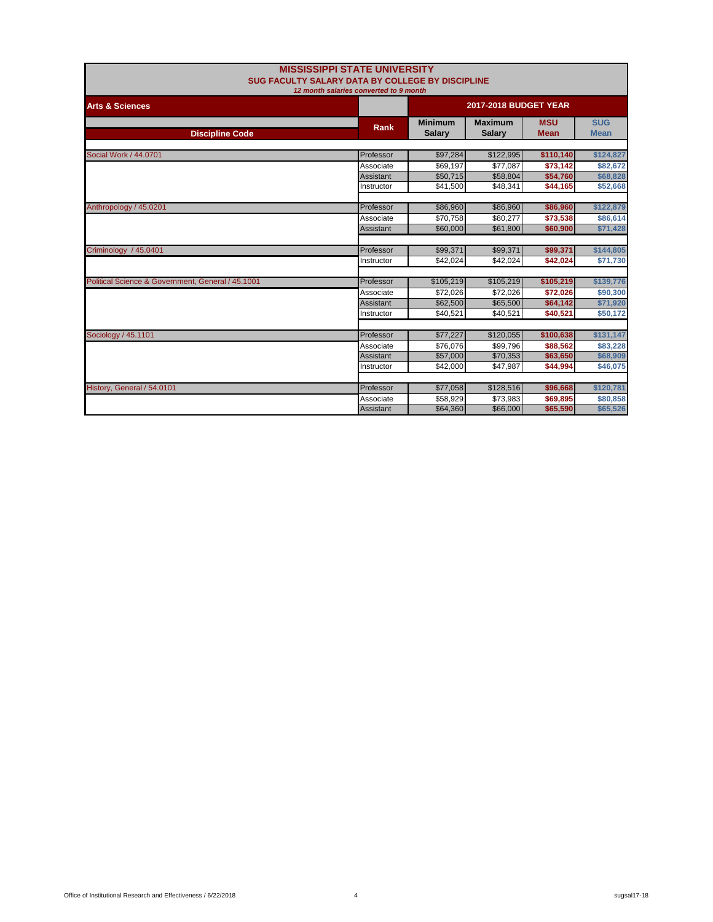| <b>MISSISSIPPI STATE UNIVERSITY</b><br><b>SUG FACULTY SALARY DATA BY COLLEGE BY DISCIPLINE</b> |                  |                                 |                                 |                              |                           |  |  |
|------------------------------------------------------------------------------------------------|------------------|---------------------------------|---------------------------------|------------------------------|---------------------------|--|--|
| 12 month salaries converted to 9 month                                                         |                  |                                 |                                 |                              |                           |  |  |
| <b>Arts &amp; Sciences</b>                                                                     |                  |                                 |                                 | <b>2017-2018 BUDGET YEAR</b> |                           |  |  |
| <b>Discipline Code</b>                                                                         | Rank             | <b>Minimum</b><br><b>Salarv</b> | <b>Maximum</b><br><b>Salary</b> | <b>MSU</b><br><b>Mean</b>    | <b>SUG</b><br><b>Mean</b> |  |  |
|                                                                                                |                  |                                 |                                 |                              |                           |  |  |
| Social Work / 44.0701                                                                          | Professor        | \$97,284                        | \$122,995                       | \$110,140                    | \$124,827                 |  |  |
|                                                                                                | Associate        | \$69,197                        | \$77.087                        | \$73,142                     | \$82,672                  |  |  |
|                                                                                                | Assistant        | \$50,715                        | \$58,804                        | \$54,760                     | \$68,828                  |  |  |
|                                                                                                | Instructor       | \$41.500                        | \$48.341                        | \$44,165                     | \$52,668                  |  |  |
| Anthropology / 45.0201                                                                         | Professor        | \$86,960                        | \$86,960                        | \$86,960                     | \$122,879                 |  |  |
|                                                                                                | Associate        | \$70.758                        | \$80.277                        | \$73,538                     | \$86,614                  |  |  |
|                                                                                                | <b>Assistant</b> | \$60,000                        | \$61.800                        | \$60,900                     | \$71,428                  |  |  |
|                                                                                                |                  |                                 |                                 |                              |                           |  |  |
| Criminology / 45.0401                                                                          | Professor        | \$99,371                        | \$99,371                        | \$99,371                     | \$144,805                 |  |  |
|                                                                                                | Instructor       | \$42,024                        | \$42,024                        | \$42,024                     | \$71,730                  |  |  |
| Political Science & Government, General / 45.1001                                              | Professor        | \$105,219                       | \$105,219                       | \$105,219                    | \$139,776                 |  |  |
|                                                                                                | Associate        | \$72,026                        | \$72,026                        | \$72,026                     | \$90,300                  |  |  |
|                                                                                                | Assistant        | \$62,500                        | \$65,500                        | \$64,142                     | \$71,920                  |  |  |
|                                                                                                | Instructor       | \$40,521                        | \$40,521                        | \$40,521                     | \$50,172                  |  |  |
|                                                                                                |                  |                                 |                                 |                              |                           |  |  |
| Sociology / 45.1101                                                                            | Professor        | \$77,227                        | \$120,055                       | \$100,638                    | \$131,147                 |  |  |
|                                                                                                | Associate        | \$76.076                        | \$99.796                        | \$88,562                     | \$83,228                  |  |  |
|                                                                                                | Assistant        | \$57,000                        | \$70,353                        | \$63,650                     | \$68,909                  |  |  |
|                                                                                                | Instructor       | \$42,000                        | \$47,987                        | \$44,994                     | \$46,075                  |  |  |
| History, General / 54.0101                                                                     | Professor        | \$77,058                        | \$128,516                       | \$96,668                     | \$120,781                 |  |  |
|                                                                                                | Associate        | \$58.929                        | \$73,983                        | \$69,895                     | \$80,858                  |  |  |
|                                                                                                | <b>Assistant</b> | \$64,360                        | \$66,000                        | \$65,590                     | \$65,526                  |  |  |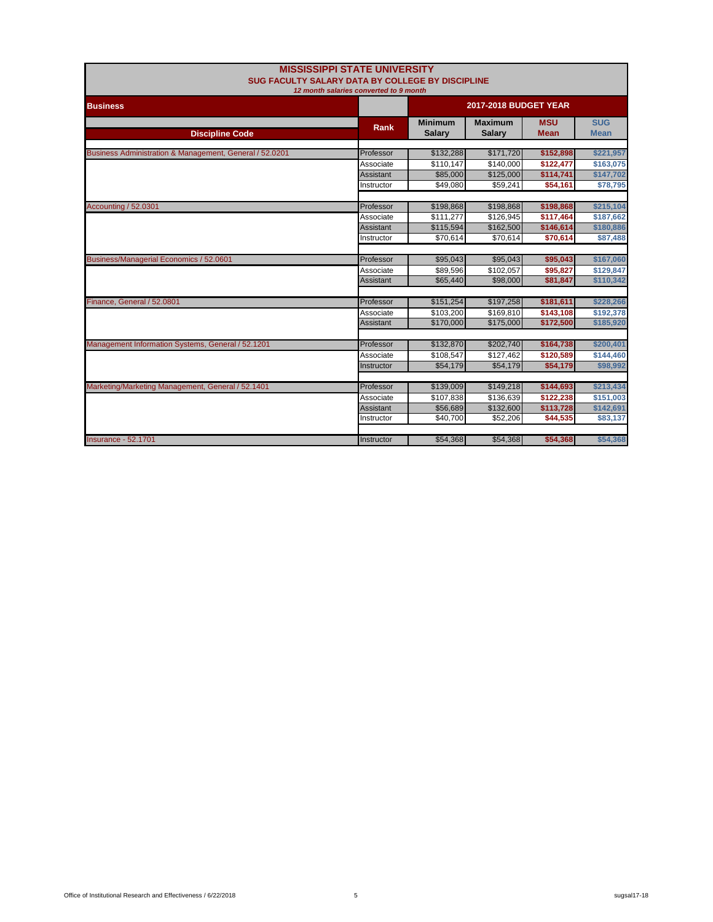| <b>MISSISSIPPI STATE UNIVERSITY</b><br>SUG FACULTY SALARY DATA BY COLLEGE BY DISCIPLINE<br>12 month salaries converted to 9 month |                              |                                 |                                 |                           |                           |  |
|-----------------------------------------------------------------------------------------------------------------------------------|------------------------------|---------------------------------|---------------------------------|---------------------------|---------------------------|--|
| <b>Business</b>                                                                                                                   | <b>2017-2018 BUDGET YEAR</b> |                                 |                                 |                           |                           |  |
| <b>Discipline Code</b>                                                                                                            | Rank                         | <b>Minimum</b><br><b>Salary</b> | <b>Maximum</b><br><b>Salary</b> | <b>MSU</b><br><b>Mean</b> | <b>SUG</b><br><b>Mean</b> |  |
| Business Administration & Management, General / 52.0201                                                                           | Professor                    | \$132,288                       | \$171,720                       | \$152,898                 | \$221,957                 |  |
|                                                                                                                                   | Associate                    | \$110,147                       | \$140,000                       | \$122,477                 | \$163,075                 |  |
|                                                                                                                                   | Assistant                    | \$85,000                        | \$125,000                       | \$114,741                 | \$147,702                 |  |
|                                                                                                                                   | Instructor                   | \$49.080                        | \$59,241                        | \$54,161                  | \$78,795                  |  |
| <b>Accounting / 52.0301</b>                                                                                                       | Professor                    | \$198,868                       | \$198,868                       | \$198,868                 | \$215,104                 |  |
|                                                                                                                                   | Associate                    | \$111,277                       | \$126.945                       | \$117,464                 | \$187,662                 |  |
|                                                                                                                                   | Assistant                    | \$115,594                       | \$162,500                       | \$146,614                 | \$180,886                 |  |
|                                                                                                                                   | Instructor                   | \$70,614                        | \$70,614                        | \$70,614                  | \$87,488                  |  |
|                                                                                                                                   |                              |                                 |                                 |                           |                           |  |
| Business/Managerial Economics / 52.0601                                                                                           | Professor                    | \$95,043                        | \$95,043                        | \$95,043                  | \$167,060                 |  |
|                                                                                                                                   | Associate                    | \$89.596                        | \$102.057                       | \$95.827                  | \$129,847                 |  |
|                                                                                                                                   | <b>Assistant</b>             | \$65,440                        | \$98,000                        | \$81,847                  | \$110,342                 |  |
| Finance, General / 52.0801                                                                                                        | Professor                    | \$151,254                       | \$197,258                       | \$181,611                 | \$228,266                 |  |
|                                                                                                                                   | Associate                    | \$103,200                       | \$169,810                       | \$143,108                 | \$192,378                 |  |
|                                                                                                                                   | Assistant                    | \$170,000                       | \$175,000                       | \$172,500                 | \$185,920                 |  |
|                                                                                                                                   |                              |                                 |                                 |                           |                           |  |
| Management Information Systems, General / 52.1201                                                                                 | Professor                    | \$132,870                       | \$202,740                       | \$164,738                 | \$200,401                 |  |
|                                                                                                                                   | Associate                    | \$108,547                       | \$127,462                       | \$120,589                 | \$144,460                 |  |
|                                                                                                                                   | Instructor                   | \$54,179                        | \$54,179                        | \$54,179                  | \$98,992                  |  |
| Marketing/Marketing Management, General / 52.1401                                                                                 | Professor                    | \$139,009                       | \$149,218                       | \$144,693                 | \$213,434                 |  |
|                                                                                                                                   | Associate                    | \$107,838                       | \$136,639                       | \$122,238                 | \$151,003                 |  |
|                                                                                                                                   | Assistant                    | \$56,689                        | \$132,600                       | \$113,728                 | \$142,691                 |  |
|                                                                                                                                   | Instructor                   | \$40,700                        | \$52,206                        | \$44,535                  | \$83,137                  |  |
|                                                                                                                                   |                              |                                 |                                 |                           |                           |  |
| <b>Insurance - 52.1701</b>                                                                                                        | Instructor                   | \$54,368                        | \$54,368                        | \$54,368                  | \$54,368                  |  |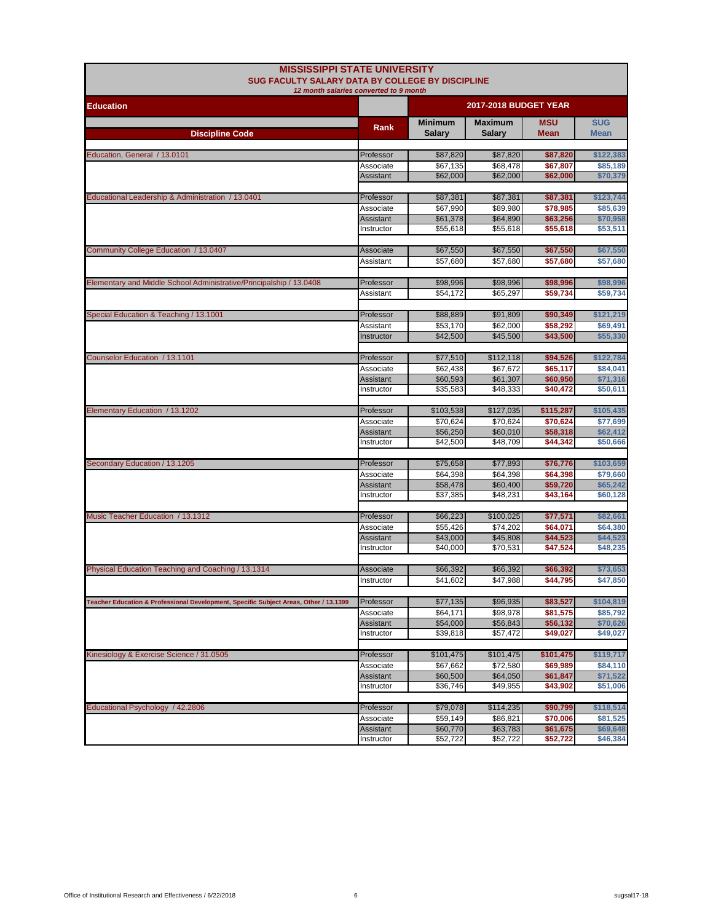| <b>MISSISSIPPI STATE UNIVERSITY</b><br>SUG FACULTY SALARY DATA BY COLLEGE BY DISCIPLINE<br>12 month salaries converted to 9 month |                                |                              |                       |                      |                       |  |
|-----------------------------------------------------------------------------------------------------------------------------------|--------------------------------|------------------------------|-----------------------|----------------------|-----------------------|--|
| <b>Education</b>                                                                                                                  |                                | <b>2017-2018 BUDGET YEAR</b> |                       |                      |                       |  |
|                                                                                                                                   | Rank                           | <b>Minimum</b>               | <b>Maximum</b>        | <b>MSU</b>           | <b>SUG</b>            |  |
| <b>Discipline Code</b>                                                                                                            |                                | <b>Salary</b>                | Salary                | <b>Mean</b>          | <b>Mean</b>           |  |
| Education, General / 13.0101                                                                                                      | Professor                      | \$87,820                     | \$87,820              | \$87,820             | \$122,383             |  |
|                                                                                                                                   | Associate                      | \$67,135                     | \$68,478              | \$67,807             | \$85,189              |  |
|                                                                                                                                   | <b>Assistant</b>               | \$62,000                     | \$62,000              | \$62,000             | \$70,379              |  |
|                                                                                                                                   |                                |                              |                       |                      |                       |  |
| Educational Leadership & Administration / 13.0401                                                                                 | Professor                      | \$87,381                     | \$87,381              | \$87,381             | \$123,744             |  |
|                                                                                                                                   | Associate                      | \$67,990                     | \$89,980              | \$78,985             | \$85,639              |  |
|                                                                                                                                   | <b>Assistant</b><br>Instructor | \$61,378<br>\$55,618         | \$64,890<br>\$55,618  | \$63,256<br>\$55,618 | \$70,958<br>\$53,511  |  |
|                                                                                                                                   |                                |                              |                       |                      |                       |  |
| Community College Education / 13.0407                                                                                             | Associate                      | \$67,550                     | \$67,550              | \$67,550             | \$67,550              |  |
|                                                                                                                                   | Assistant                      | \$57,680                     | \$57,680              | \$57,680             | \$57,680              |  |
|                                                                                                                                   |                                |                              |                       |                      |                       |  |
| Elementary and Middle School Administrative/Principalship / 13.0408                                                               | Professor                      | \$98,996                     | \$98,996              | \$98,996             | \$98,996              |  |
|                                                                                                                                   | Assistant                      | \$54,172                     | \$65,297              | \$59,734             | \$59,734              |  |
|                                                                                                                                   |                                |                              |                       |                      |                       |  |
| Special Education & Teaching / 13.1001                                                                                            | Professor                      | \$88,889                     | \$91,809              | \$90,349<br>\$58,292 | \$121,219<br>\$69,491 |  |
|                                                                                                                                   | Assistant<br>Instructor        | \$53,170<br>\$42,500         | \$62,000<br>\$45,500  | \$43,500             | \$55,330              |  |
|                                                                                                                                   |                                |                              |                       |                      |                       |  |
| Counselor Education / 13.1101                                                                                                     | Professor                      | \$77,510                     | \$112,118             | \$94,526             | \$122,784             |  |
|                                                                                                                                   | Associate                      | \$62,438                     | \$67.672              | \$65,117             | \$84,041              |  |
|                                                                                                                                   | <b>Assistant</b>               | \$60,593                     | \$61,307              | \$60,950             | \$71,316              |  |
|                                                                                                                                   | Instructor                     | \$35,583                     | \$48,333              | \$40,472             | \$50,611              |  |
|                                                                                                                                   |                                |                              |                       |                      |                       |  |
| Elementary Education / 13.1202                                                                                                    | Professor                      | \$103,538                    | \$127,035             | \$115,287            | \$105,435             |  |
|                                                                                                                                   | Associate<br><b>Assistant</b>  | \$70,624<br>\$56,250         | \$70,624<br>\$60,010  | \$70,624<br>\$58,318 | \$77,699<br>\$62,412  |  |
|                                                                                                                                   | Instructor                     | \$42,500                     | \$48,709              | \$44,342             | \$50,666              |  |
|                                                                                                                                   |                                |                              |                       |                      |                       |  |
| Secondary Education / 13.1205                                                                                                     | Professor                      | \$75,658                     | \$77,893              | \$76,776             | \$103,659             |  |
|                                                                                                                                   | Associate                      | \$64,398                     | \$64,398              | \$64,398             | \$79,660              |  |
|                                                                                                                                   | <b>Assistant</b>               | \$58,478                     | \$60,400              | \$59,720             | \$65,242              |  |
|                                                                                                                                   | Instructor                     | \$37,385                     | \$48,231              | \$43,164             | \$60,128              |  |
| Music Teacher Education / 13.1312                                                                                                 | Professor                      | \$66,223                     | \$100,025             |                      |                       |  |
|                                                                                                                                   | Associate                      | \$55,426                     | \$74,202              | \$77,571<br>\$64,071 | \$82,661<br>\$64,380  |  |
|                                                                                                                                   | Assistant                      | \$43,000                     | \$45,808              | \$44,523             | \$44,523              |  |
|                                                                                                                                   | Instructor                     | \$40,000                     | \$70,531              | \$47.524             | \$48,235              |  |
|                                                                                                                                   |                                |                              |                       |                      |                       |  |
| Physical Education Teaching and Coaching / 13.1314                                                                                | Associate                      | \$66,392                     | \$66,392              | \$66,392             | \$73,653              |  |
|                                                                                                                                   | Instructor                     | \$41,602                     | \$47,988              | \$44,795             | \$47,850              |  |
|                                                                                                                                   |                                |                              |                       |                      |                       |  |
| Teacher Education & Professional Development, Specific Subject Areas, Other / 13.1399                                             | Professor                      | \$77,135                     | \$96,935              | \$83,527             | \$104,819             |  |
|                                                                                                                                   | Associate<br>Assistant         | \$64,171<br>\$54,000         | \$98,978<br>\$56,843  | \$81,575<br>\$56,132 | \$85,792<br>\$70,626  |  |
|                                                                                                                                   | Instructor                     | \$39,818                     | \$57,472              | \$49,027             | \$49,027              |  |
|                                                                                                                                   |                                |                              |                       |                      |                       |  |
| Kinesiology & Exercise Science / 31.0505                                                                                          | Professor                      | \$101,475                    | \$101,475             | \$101,475            | \$119,717             |  |
|                                                                                                                                   | Associate                      | \$67,662                     | \$72,580              | \$69,989             | \$84,110              |  |
|                                                                                                                                   | Assistant                      | \$60,500                     | \$64,050              | \$61,847             | \$71,522              |  |
|                                                                                                                                   | Instructor                     | \$36,746                     | \$49,955              | \$43,902             | \$51,006              |  |
|                                                                                                                                   |                                |                              |                       |                      | \$118,514             |  |
| Educational Psychology / 42.2806                                                                                                  | Professor                      | \$79,078<br>\$59,149         | \$114,235<br>\$86,821 | \$90,799<br>\$70,006 |                       |  |
|                                                                                                                                   | Associate<br>Assistant         | \$60,770                     | \$63,783              | \$61,675             | \$81,525<br>\$69,648  |  |
|                                                                                                                                   | Instructor                     | \$52,722                     | \$52,722              | \$52,722             | \$46,384              |  |
|                                                                                                                                   |                                |                              |                       |                      |                       |  |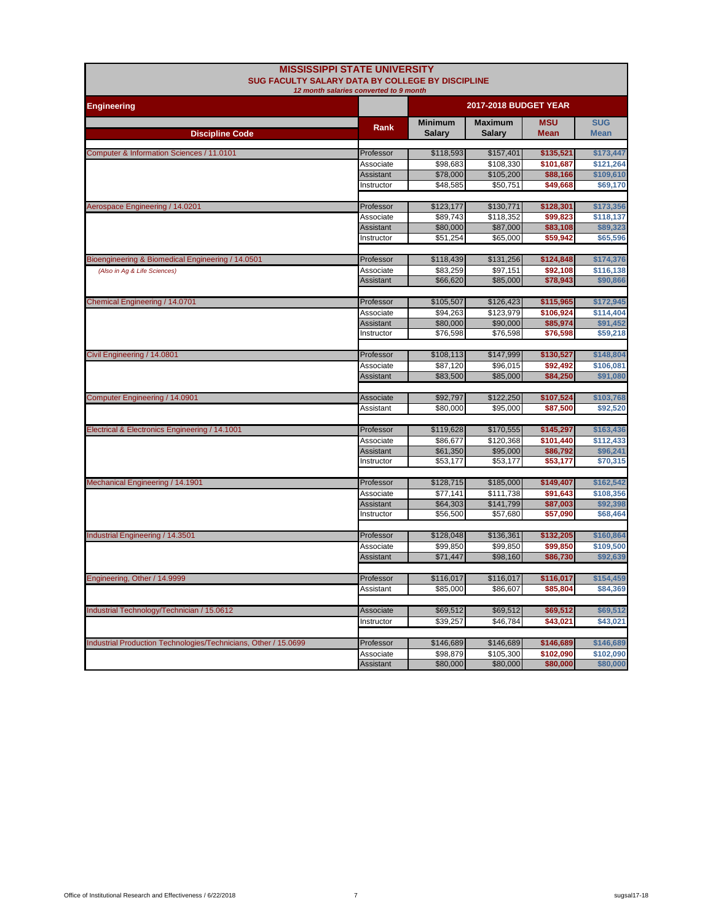|                                                                 | <b>MISSISSIPPI STATE UNIVERSITY</b><br>SUG FACULTY SALARY DATA BY COLLEGE BY DISCIPLINE |                                 |                                 |                           |                           |  |
|-----------------------------------------------------------------|-----------------------------------------------------------------------------------------|---------------------------------|---------------------------------|---------------------------|---------------------------|--|
|                                                                 | 12 month salaries converted to 9 month                                                  |                                 |                                 |                           |                           |  |
| <b>Engineering</b>                                              |                                                                                         | <b>2017-2018 BUDGET YEAR</b>    |                                 |                           |                           |  |
| <b>Discipline Code</b>                                          | Rank                                                                                    | <b>Minimum</b><br><b>Salary</b> | <b>Maximum</b><br><b>Salary</b> | <b>MSU</b><br><b>Mean</b> | <b>SUG</b><br><b>Mean</b> |  |
|                                                                 |                                                                                         |                                 |                                 |                           |                           |  |
| Computer & Information Sciences / 11.0101                       | Professor                                                                               | \$118,593                       | \$157,401                       | \$135,521                 | \$173,447                 |  |
|                                                                 | Associate<br><b>Assistant</b>                                                           | \$98,683<br>\$78,000            | \$108,330<br>\$105,200          | \$101,687                 | \$121,264<br>\$109,610    |  |
|                                                                 | Instructor                                                                              | \$48,585                        | \$50,751                        | \$88,166<br>\$49,668      | \$69,170                  |  |
|                                                                 |                                                                                         |                                 |                                 |                           |                           |  |
| Aerospace Engineering / 14.0201                                 | Professor                                                                               | \$123,177                       | \$130,771                       | \$128,301                 | \$173,356                 |  |
|                                                                 | Associate                                                                               | \$89,743                        | \$118,352                       | \$99,823                  | \$118,137                 |  |
|                                                                 | <b>Assistant</b>                                                                        | \$80,000                        | \$87,000                        | \$83,108                  | \$89,323                  |  |
|                                                                 | Instructor                                                                              | \$51,254                        | \$65,000                        | \$59,942                  | \$65,596                  |  |
| Bioengineering & Biomedical Engineering / 14.0501               | Professor                                                                               | \$118,439                       | \$131,256                       | \$124,848                 | \$174,376                 |  |
| (Also in Ag & Life Sciences)                                    | Associate                                                                               | \$83,259                        | \$97,151                        | \$92,108                  | \$116,138                 |  |
|                                                                 | <b>Assistant</b>                                                                        | \$66,620                        | \$85,000                        | \$78,943                  | \$90,866                  |  |
|                                                                 |                                                                                         |                                 |                                 |                           |                           |  |
| Chemical Engineering / 14.0701                                  | Professor                                                                               | \$105,507                       | \$126,423                       | \$115,965                 | \$172,945                 |  |
|                                                                 | Associate                                                                               | \$94.263                        | \$123.979                       | \$106.924                 | \$114.404                 |  |
|                                                                 | <b>Assistant</b><br>Instructor                                                          | \$80,000                        | \$90,000                        | \$85,974                  | \$91,452                  |  |
|                                                                 |                                                                                         | \$76,598                        | \$76,598                        | \$76,598                  | \$59,218                  |  |
| Civil Engineering / 14.0801                                     | Professor                                                                               | \$108,113                       | \$147,999                       | \$130,527                 | \$148,804                 |  |
|                                                                 | Associate                                                                               | \$87.120                        | \$96.015                        | \$92.492                  | \$106.081                 |  |
|                                                                 | <b>Assistant</b>                                                                        | \$83,500                        | \$85,000                        | \$84,250                  | \$91,080                  |  |
|                                                                 |                                                                                         |                                 |                                 |                           |                           |  |
| Computer Engineering / 14.0901                                  | Associate<br>Assistant                                                                  | \$92,797<br>\$80,000            | \$122,250<br>\$95.000           | \$107,524<br>\$87.500     | \$103,768<br>\$92.520     |  |
|                                                                 |                                                                                         |                                 |                                 |                           |                           |  |
| Electrical & Electronics Engineering / 14.1001                  | Professor                                                                               | \$119,628                       | \$170,555                       | \$145,297                 | \$163,436                 |  |
|                                                                 | Associate                                                                               | \$86,677                        | \$120,368                       | \$101,440                 | \$112,433                 |  |
|                                                                 | <b>Assistant</b>                                                                        | \$61,350                        | \$95,000                        | \$86,792                  | \$96,241                  |  |
|                                                                 | Instructor                                                                              | \$53,177                        | \$53,177                        | \$53,177                  | \$70,315                  |  |
| Mechanical Engineering / 14.1901                                | Professor                                                                               | \$128,715                       | \$185,000                       | \$149,407                 | \$162,542                 |  |
|                                                                 | Associate                                                                               | \$77,141                        | \$111,738                       | \$91,643                  | \$108,356                 |  |
|                                                                 | Assistant                                                                               | \$64,303                        | \$141,799                       | \$87,003                  | \$92,398                  |  |
|                                                                 | Instructor                                                                              | \$56,500                        | \$57,680                        | \$57,090                  | \$68,464                  |  |
|                                                                 |                                                                                         |                                 |                                 |                           |                           |  |
| Industrial Engineering / 14.3501                                | Professor                                                                               | \$128,048                       | \$136,361                       | \$132,205                 | \$160,864                 |  |
|                                                                 | Associate                                                                               | \$99.850                        | \$99,850                        | \$99.850                  | \$109,500                 |  |
|                                                                 | <b>Assistant</b>                                                                        | \$71,447                        | \$98,160                        | \$86,730                  | \$92,639                  |  |
|                                                                 | Professor                                                                               | \$116,017                       | \$116,017                       | \$116,017                 | \$154,459                 |  |
| Engineering, Other / 14.9999                                    | Assistant                                                                               | \$85,000                        | \$86,607                        | \$85,804                  | \$84,369                  |  |
|                                                                 |                                                                                         |                                 |                                 |                           |                           |  |
| Industrial Technology/Technician / 15.0612                      | Associate                                                                               | \$69,512                        | \$69,512                        | \$69,512                  | \$69,512                  |  |
|                                                                 | Instructor                                                                              | \$39,257                        | \$46,784                        | \$43,021                  | \$43,021                  |  |
|                                                                 |                                                                                         |                                 |                                 |                           |                           |  |
| Industrial Production Technologies/Technicians, Other / 15.0699 | Professor                                                                               | \$146,689                       | \$146,689                       | \$146,689                 | \$146,689                 |  |
|                                                                 | Associate                                                                               | \$98.879                        | \$105.300                       | \$102.090                 | \$102.090                 |  |
|                                                                 | <b>Assistant</b>                                                                        | \$80,000                        | \$80,000                        | \$80,000                  | \$80,000                  |  |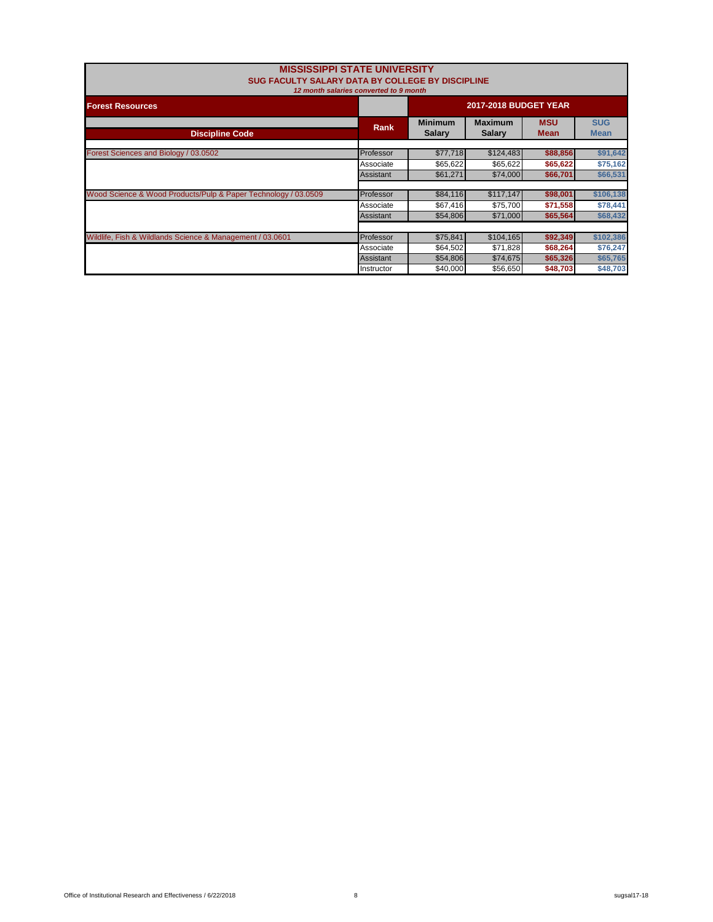| <b>MISSISSIPPI STATE UNIVERSITY</b><br>SUG FACULTY SALARY DATA BY COLLEGE BY DISCIPLINE<br>12 month salaries converted to 9 month |             |                                 |                           |                           |           |  |
|-----------------------------------------------------------------------------------------------------------------------------------|-------------|---------------------------------|---------------------------|---------------------------|-----------|--|
| <b>Forest Resources</b>                                                                                                           |             | <b>2017-2018 BUDGET YEAR</b>    |                           |                           |           |  |
| <b>Discipline Code</b>                                                                                                            | <b>Rank</b> | <b>Minimum</b><br><b>Salary</b> | <b>MSU</b><br><b>Mean</b> | <b>SUG</b><br><b>Mean</b> |           |  |
| Forest Sciences and Biology / 03.0502                                                                                             | Professor   | \$77,718                        | \$124,483                 | \$88,856                  | \$91,642  |  |
|                                                                                                                                   | Associate   | \$65,622                        | \$65,622                  | \$65,622                  | \$75,162  |  |
|                                                                                                                                   | Assistant   | \$61,271                        | \$74,000                  | \$66,701                  | \$66,531  |  |
| Wood Science & Wood Products/Pulp & Paper Technology / 03.0509                                                                    | Professor   | \$84,116                        | \$117,147                 | \$98,001                  | \$106,138 |  |
|                                                                                                                                   | Associate   | \$67,416                        | \$75,700                  | \$71,558                  | \$78,441  |  |
|                                                                                                                                   | Assistant   | \$54,806                        | \$71,000                  | \$65,564                  | \$68,432  |  |
| Wildlife, Fish & Wildlands Science & Management / 03.0601                                                                         | Professor   | \$75,841                        | \$104,165                 | \$92,349                  | \$102,386 |  |
|                                                                                                                                   | Associate   | \$64,502                        | \$71,828                  | \$68,264                  | \$76,247  |  |
|                                                                                                                                   | Assistant   | \$54,806                        | \$74,675                  | \$65,326                  | \$65,765  |  |
|                                                                                                                                   | Instructor  | \$40,000                        | \$56,650                  | \$48,703                  | \$48,703  |  |